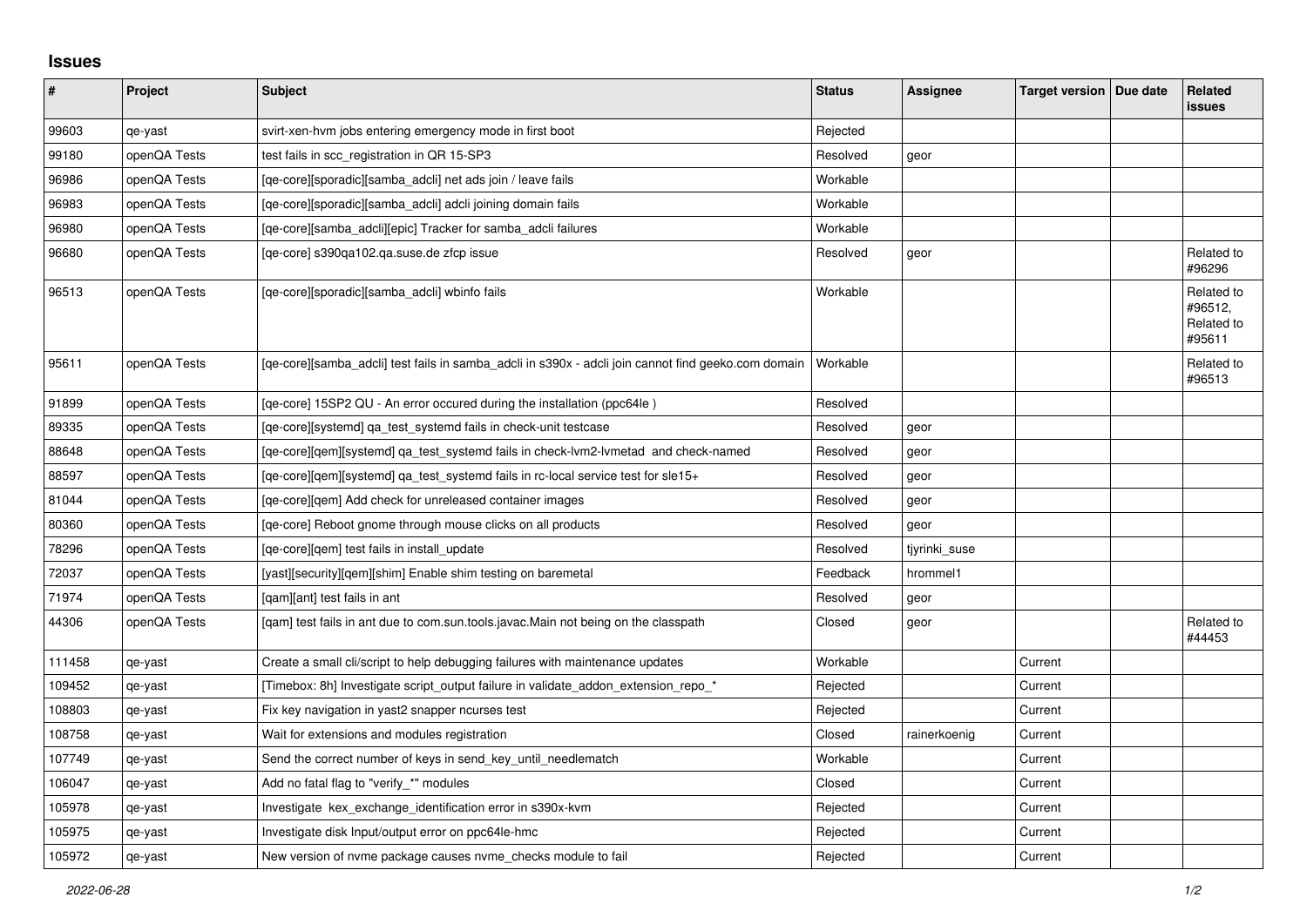## **Issues**

| $\vert$ # | Project      | <b>Subject</b>                                                                                      | <b>Status</b> | Assignee      | Target version   Due date | Related<br><b>issues</b>                      |
|-----------|--------------|-----------------------------------------------------------------------------------------------------|---------------|---------------|---------------------------|-----------------------------------------------|
| 99603     | qe-yast      | svirt-xen-hvm jobs entering emergency mode in first boot                                            | Rejected      |               |                           |                                               |
| 99180     | openQA Tests | test fails in scc_registration in QR 15-SP3                                                         | Resolved      | geor          |                           |                                               |
| 96986     | openQA Tests | [qe-core][sporadic][samba_adcli] net ads join / leave fails                                         | Workable      |               |                           |                                               |
| 96983     | openQA Tests | [ge-core][sporadic][samba adcli] adcli joining domain fails                                         | Workable      |               |                           |                                               |
| 96980     | openQA Tests | [qe-core][samba_adcli][epic] Tracker for samba_adcli failures                                       | Workable      |               |                           |                                               |
| 96680     | openQA Tests | [qe-core] s390qa102.qa.suse.de zfcp issue                                                           | Resolved      | geor          |                           | Related to<br>#96296                          |
| 96513     | openQA Tests | [qe-core][sporadic][samba_adcli] wbinfo fails                                                       | Workable      |               |                           | Related to<br>#96512,<br>Related to<br>#95611 |
| 95611     | openQA Tests | [qe-core][samba_adcli] test fails in samba_adcli in s390x - adcli join cannot find geeko.com domain | Workable      |               |                           | Related to<br>#96513                          |
| 91899     | openQA Tests | [qe-core] 15SP2 QU - An error occured during the installation (ppc64le)                             | Resolved      |               |                           |                                               |
| 89335     | openQA Tests | [qe-core][systemd] ga test systemd fails in check-unit testcase                                     | Resolved      | geor          |                           |                                               |
| 88648     | openQA Tests | [ge-core][gem][systemd] ga test systemd fails in check-lym2-lymetad and check-named                 | Resolved      | geor          |                           |                                               |
| 88597     | openQA Tests | [qe-core][gem][systemd] qa_test_systemd fails in rc-local service test for sle15+                   | Resolved      | geor          |                           |                                               |
| 81044     | openQA Tests | [ge-core][gem] Add check for unreleased container images                                            | Resolved      | geor          |                           |                                               |
| 80360     | openQA Tests | [ge-core] Reboot gnome through mouse clicks on all products                                         | Resolved      | geor          |                           |                                               |
| 78296     | openQA Tests | [qe-core][qem] test fails in install_update                                                         | Resolved      | tjyrinki_suse |                           |                                               |
| 72037     | openQA Tests | [yast][security][qem][shim] Enable shim testing on baremetal                                        | Feedback      | hrommel1      |                           |                                               |
| 71974     | openQA Tests | [gam][ant] test fails in ant                                                                        | Resolved      | geor          |                           |                                               |
| 44306     | openQA Tests | [qam] test fails in ant due to com.sun.tools.javac.Main not being on the classpath                  | Closed        | geor          |                           | Related to<br>#44453                          |
| 111458    | qe-yast      | Create a small cli/script to help debugging failures with maintenance updates                       | Workable      |               | Current                   |                                               |
| 109452    | qe-yast      | [Timebox: 8h] Investigate script_output failure in validate_addon_extension_repo_*                  | Rejected      |               | Current                   |                                               |
| 108803    | qe-yast      | Fix key navigation in yast2 snapper ncurses test                                                    | Rejected      |               | Current                   |                                               |
| 108758    | qe-yast      | Wait for extensions and modules registration                                                        | Closed        | rainerkoenig  | Current                   |                                               |
| 107749    | qe-yast      | Send the correct number of keys in send key until needlematch                                       | Workable      |               | Current                   |                                               |
| 106047    | qe-yast      | Add no fatal flag to "verify_*" modules                                                             | Closed        |               | Current                   |                                               |
| 105978    | qe-yast      | Investigate kex_exchange_identification error in s390x-kvm                                          | Rejected      |               | Current                   |                                               |
| 105975    | qe-yast      | Investigate disk Input/output error on ppc64le-hmc                                                  | Rejected      |               | Current                   |                                               |
| 105972    | qe-yast      | New version of nyme package causes nyme checks module to fail                                       | Rejected      |               | Current                   |                                               |